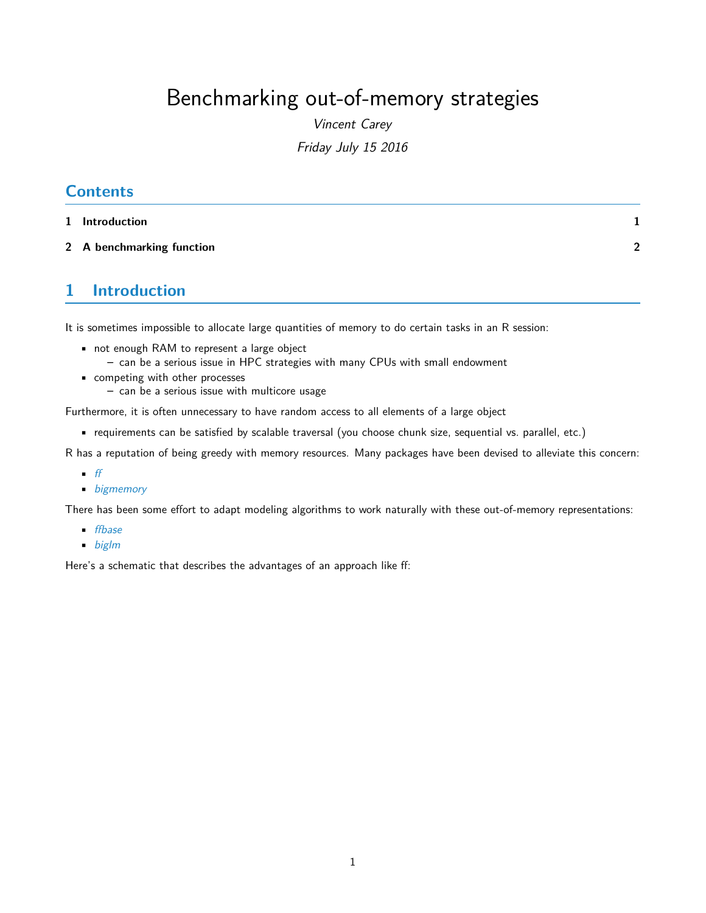## Benchmarking out-of-memory strategies

Vincent Carey Friday July 15 2016

## **Contents**

- **[1 Introduction](#page-0-0) 1**
- **[2 A benchmarking function](#page-1-0) 2**

## <span id="page-0-0"></span>**1 Introduction**

It is sometimes impossible to allocate large quantities of memory to do certain tasks in an R session:

- not enough RAM to represent a large object
	- **–** can be a serious issue in HPC strategies with many CPUs with small endowment
- competing with other processes
	- **–** can be a serious issue with multicore usage

Furthermore, it is often unnecessary to have random access to all elements of a large object

• requirements can be satisfied by scalable traversal (you choose chunk size, sequential vs. parallel, etc.)

R has a reputation of being greedy with memory resources. Many packages have been devised to alleviate this concern:

- $\bullet$  [ff](http://cran.fhcrc.org/web/packages/ff/index.html)
- [bigmemory](http://cran.fhcrc.org/web/packages/bigmemory/index.html)

There has been some effort to adapt modeling algorithms to work naturally with these out-of-memory representations:

- [ffbase](http://cran.fhcrc.org/web/packages/ffbase/index.html)
- [biglm](http://cran.fhcrc.org/web/packages/biglm/index.html)

Here's a schematic that describes the advantages of an approach like ff: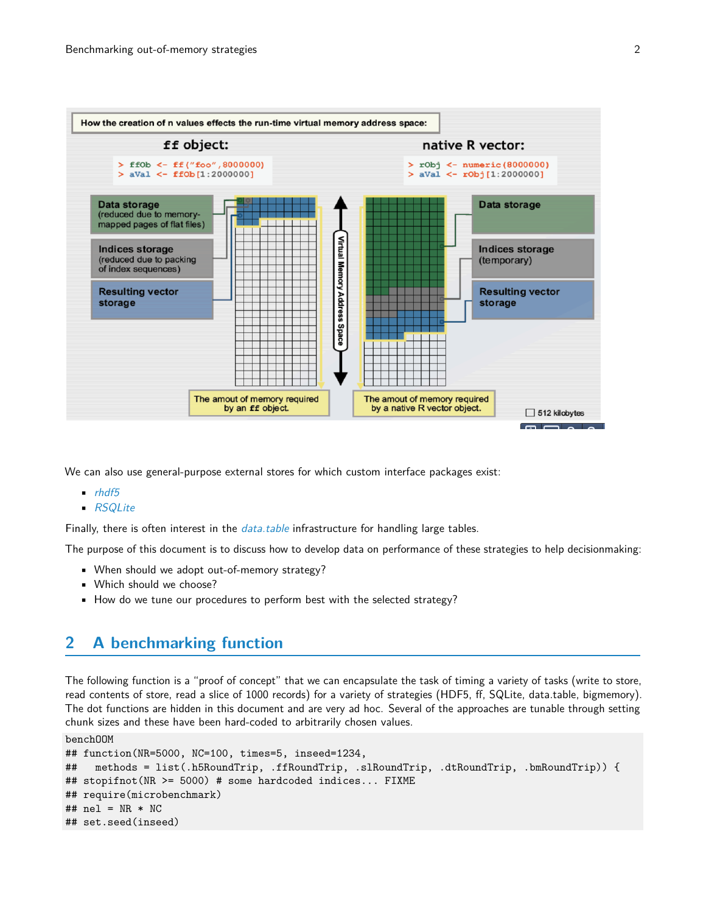

We can also use general-purpose external stores for which custom interface packages exist:

- $\blacksquare$ [rhdf5](http://bioconductor.org/packages/rhdf5)
- [RSQLite](http://cran.fhcrc.org/web/packages/RSQLite/index.html)

Finally, there is often interest in the *[data.table](http://cran.fhcrc.org/web/packages/data.table/index.html)* infrastructure for handling large tables.

The purpose of this document is to discuss how to develop data on performance of these strategies to help decisionmaking:

- When should we adopt out-of-memory strategy?
- Which should we choose?
- How do we tune our procedures to perform best with the selected strategy?

## <span id="page-1-0"></span>**2 A benchmarking function**

The following function is a "proof of concept" that we can encapsulate the task of timing a variety of tasks (write to store, read contents of store, read a slice of 1000 records) for a variety of strategies (HDF5, ff, SQLite, data.table, bigmemory). The dot functions are hidden in this document and are very ad hoc. Several of the approaches are tunable through setting chunk sizes and these have been hard-coded to arbitrarily chosen values.

benchOOM

```
## function(NR=5000, NC=100, times=5, inseed=1234,
## methods = list(.h5RoundTrip, .ffRoundTrip, .slRoundTrip, .dtRoundTrip, .bmRoundTrip)) {
## stopifnot(NR >= 5000) # some hardcoded indices... FIXME
## require(microbenchmark)
## nel = NR * NC## set.seed(inseed)
```